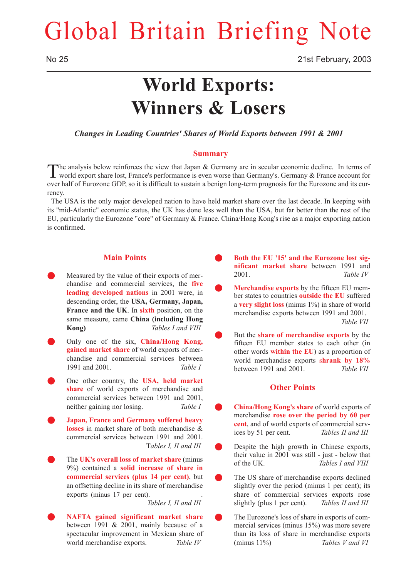# Global Britain Briefing Note

## **World Exports: Winners & Losers**

*Changes in Leading Countries' Shares of World Exports between 1991 & 2001*

#### **Summary**

The analysis below reinforces the view that Japan & Germany are in secular economic decline. In terms of world export share lost, France's performance is even worse than Germany's. Germany & France account for over half of Eurozone GDP, so it is difficult to sustain a benign long-term prognosis for the Eurozone and its currency.

The USA is the only major developed nation to have held market share over the last decade. In keeping with its "mid-Atlantic" economic status, the UK has done less well than the USA, but far better than the rest of the EU, particularly the Eurozone "core" of Germany & France. China/Hong Kong's rise as a major exporting nation is confirmed.

### **Main Points**

- Measured by the value of their exports of merchandise and commercial services, the **five leading developed nations** in 2001 were, in descending order, the **USA, Germany, Japan, France and the UK**. In **sixth** position, on the same measure, came **China (including Hong Kong)** *Tables I and VIII*
- Q Only one of the six, **China/Hong Kong, gained market share** of world exports of merchandise and commercial services between 1991 and 2001. *Table I*
- Q One other country, the **USA, held market share** of world exports of merchandise and commercial services between 1991 and 2001, neither gaining nor losing. *Table I*
- Q **Japan, France and Germany suffered heavy losses** in market share of both merchandise & commercial services between 1991 and 2001. T*ables I, II and III*
- The **UK's overall loss of market share** (minus 9%) contained a **solid increase of share in commercial services (plus 14 per cent)**, but an offsetting decline in its share of merchandise exports (minus 17 per cent).

*Tables I, II and III*

Q **NAFTA gained significant market share** between 1991 & 2001, mainly because of a spectacular improvement in Mexican share of world merchandise exports. *Table IV*

- Both the EU '15' and the Eurozone lost sig**nificant market share** between 1991 and 2001. *Table IV*
- Merchandise exports by the fifteen EU member states to countries **outside the EU** suffered a **very slight loss** (minus 1%) in share of world merchandise exports between 1991 and 2001. *Table VII*
- But the **share of merchandise exports** by the fifteen EU member states to each other (in other words **within the EU**) as a proportion of world merchandise exports s**hrank by 18%** between 1991 and 2001. *Table VII*

#### **Other Points**

- Q **China/Hong Kong's share** of world exports of merchandise **rose over the period by 60 per cent**, and of world exports of commercial services by 51 per cent. *Tables II and III*
- Despite the high growth in Chinese exports, their value in 2001 was still - just - below that of the UK. *Tables I and VIII*
- The US share of merchandise exports declined slightly over the period (minus 1 per cent); its share of commercial services exports rose slightly (plus 1 per cent). *Tables II and III*
- The Eurozone's loss of share in exports of commercial services (minus 15%) was more severe than its loss of share in merchandise exports (minus 11%) *Tables V and VI*